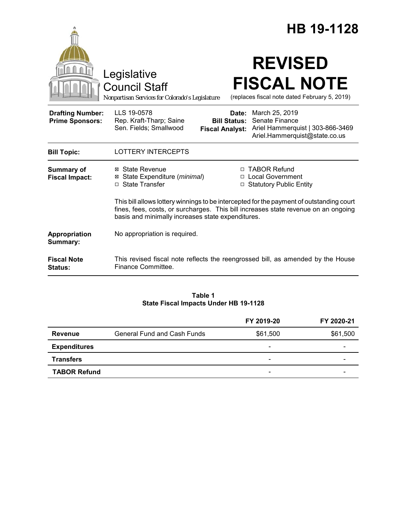|                                                   | HB 19-1128                                                                                                                                                                                                                          |  |
|---------------------------------------------------|-------------------------------------------------------------------------------------------------------------------------------------------------------------------------------------------------------------------------------------|--|
|                                                   | <b>REVISED</b><br>Legislative<br><b>FISCAL NOTE</b><br><b>Council Staff</b><br>(replaces fiscal note dated February 5, 2019)<br>Nonpartisan Services for Colorado's Legislature                                                     |  |
| <b>Drafting Number:</b><br><b>Prime Sponsors:</b> | LLS 19-0578<br>March 25, 2019<br>Date:<br>Senate Finance<br>Rep. Kraft-Tharp; Saine<br><b>Bill Status:</b><br>Sen. Fields; Smallwood<br>Ariel Hammerquist   303-866-3469<br><b>Fiscal Analyst:</b><br>Ariel.Hammerquist@state.co.us |  |
| <b>Bill Topic:</b>                                | <b>LOTTERY INTERCEPTS</b>                                                                                                                                                                                                           |  |
| <b>Summary of</b><br><b>Fiscal Impact:</b>        | <b>TABOR Refund</b><br>⊠ State Revenue<br>П.<br>⊠ State Expenditure (minimal)<br><b>Local Government</b><br>$\Box$<br>□ State Transfer<br><b>Statutory Public Entity</b><br>□                                                       |  |
|                                                   | This bill allows lottery winnings to be intercepted for the payment of outstanding court<br>fines, fees, costs, or surcharges. This bill increases state revenue on an ongoing<br>basis and minimally increases state expenditures. |  |
| Appropriation<br>Summary:                         | No appropriation is required.                                                                                                                                                                                                       |  |
| <b>Fiscal Note</b><br><b>Status:</b>              | This revised fiscal note reflects the reengrossed bill, as amended by the House<br>Finance Committee.                                                                                                                               |  |

### **Table 1 State Fiscal Impacts Under HB 19-1128**

|                     |                                    | FY 2019-20               | FY 2020-21 |
|---------------------|------------------------------------|--------------------------|------------|
| <b>Revenue</b>      | <b>General Fund and Cash Funds</b> | \$61,500                 | \$61,500   |
| <b>Expenditures</b> |                                    | $\overline{\phantom{0}}$ |            |
| <b>Transfers</b>    |                                    | $\overline{\phantom{0}}$ | -          |
| <b>TABOR Refund</b> |                                    | -                        |            |